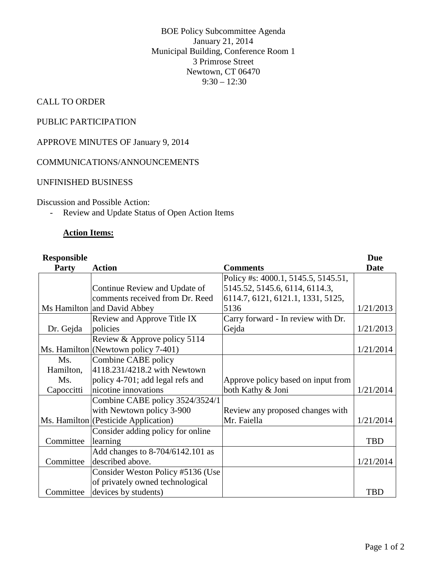BOE Policy Subcommittee Agenda January 21, 2014 Municipal Building, Conference Room 1 3 Primrose Street Newtown, CT 06470  $9:30 - 12:30$ 

## CALL TO ORDER

# PUBLIC PARTICIPATION

## APPROVE MINUTES OF January 9, 2014

### COMMUNICATIONS/ANNOUNCEMENTS

## UNFINISHED BUSINESS

### Discussion and Possible Action:

- Review and Update Status of Open Action Items

### **Action Items:**

#### **Responsible Party Action Comments Due Date** Ms Hamilton and David Abbey Continue Review and Update of comments received from Dr. Reed Policy #s: 4000.1, 5145.5, 5145.51, 5145.52, 5145.6, 6114, 6114.3, 6114.7, 6121, 6121.1, 1331, 5125, 5136 1/21/2013 Dr. Gejda Review and Approve Title IX policies Carry forward - In review with Dr. Gejda 1/21/2013 Ms. Hamilton Review & Approve policy 5114 (Newtown policy 7-401) 1/21/2014 Ms. Hamilton, Ms. **Capoccitti** Combine CABE policy 4118.231/4218.2 with Newtown policy 4-701; add legal refs and nicotine innovations Approve policy based on input from both Kathy  $\&$  Joni  $\left( \frac{1}{21}{2014} \right)$ Ms. Hamilton (Pesticide Application) Combine CABE policy 3524/3524/1 with Newtown policy 3-900 Review any proposed changes with Mr. Faiella 1/21/2014 Committee Consider adding policy for online learning and the contract of the contract of the contract of the contract of the contract of the contract of the contract of the contract of the contract of the contract of the contract of the contract of the contract of t Committee Add changes to 8-704/6142.101 as described above. 1/21/2014 Committee Consider Weston Policy #5136 (Use of privately owned technological devices by students) TBD